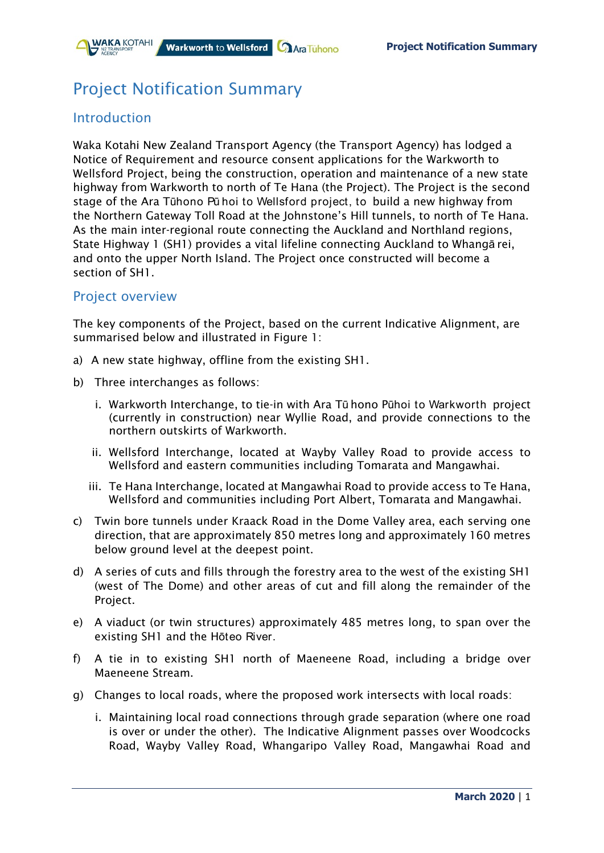

# Project Notification Summary

## Introduction

Waka Kotahi New Zealand Transport Agency (the Transport Agency) has lodged a Notice of Requirement and resource consent applications for the Warkworth to Wellsford Project, being the construction, operation and maintenance of a new state highway from Warkworth to north of Te Hana (the Project). The Project is the second stage of the Ara Tūhono Pū hoi to Wellsford project, to build a new highway from the Northern Gateway Toll Road at the Johnstone's Hill tunnels, to north of Te Hana. As the main inter-regional route connecting the Auckland and Northland regions, State Highway 1 (SH1) provides a vital lifeline connecting Auckland to Whangā rei, and onto the upper North Island. The Project once constructed will become a section of SH1.

#### Project overview

The key components of the Project, based on the current Indicative Alignment, are summarised below and illustrated in Figure 1:

- a) A new state highway, offline from the existing SH1.
- b) Three interchanges as follows:
	- i. Warkworth Interchange, to tie-in with Ara Tū hono Pūhoi to Warkworth project (currently in construction) near Wyllie Road, and provide connections to the northern outskirts of Warkworth.
	- ii. Wellsford Interchange, located at Wayby Valley Road to provide access to Wellsford and eastern communities including Tomarata and Mangawhai.
	- iii. Te Hana Interchange, located at Mangawhai Road to provide access to Te Hana, Wellsford and communities including Port Albert, Tomarata and Mangawhai.
- c) Twin bore tunnels under Kraack Road in the Dome Valley area, each serving one direction, that are approximately 850 metres long and approximately 160 metres below ground level at the deepest point.
- d) A series of cuts and fills through the forestry area to the west of the existing SH1 (west of The Dome) and other areas of cut and fill along the remainder of the Project.
- e) A viaduct (or twin structures) approximately 485 metres long, to span over the existing SH1 and the Hōteo River.
- f) A tie in to existing SH1 north of Maeneene Road, including a bridge over Maeneene Stream.
- g) Changes to local roads, where the proposed work intersects with local roads:
	- i. Maintaining local road connections through grade separation (where one road is over or under the other). The Indicative Alignment passes over Woodcocks Road, Wayby Valley Road, Whangaripo Valley Road, Mangawhai Road and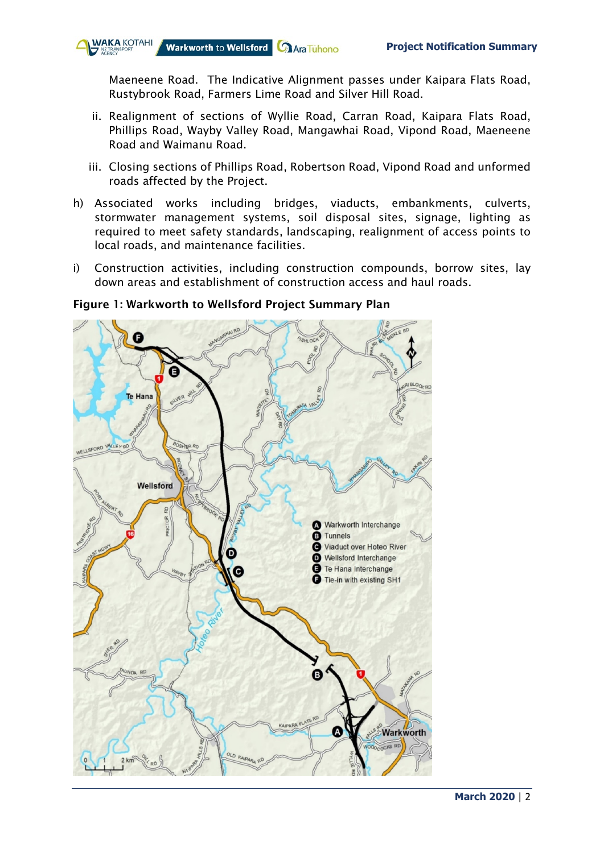

Maeneene Road. The Indicative Alignment passes under Kaipara Flats Road, Rustybrook Road, Farmers Lime Road and Silver Hill Road.

- ii. Realignment of sections of Wyllie Road, Carran Road, Kaipara Flats Road, Phillips Road, Wayby Valley Road, Mangawhai Road, Vipond Road, Maeneene Road and Waimanu Road.
- iii. Closing sections of Phillips Road, Robertson Road, Vipond Road and unformed roads affected by the Project.
- h) Associated works including bridges, viaducts, embankments, culverts, stormwater management systems, soil disposal sites, signage, lighting as required to meet safety standards, landscaping, realignment of access points to local roads, and maintenance facilities.
- i) Construction activities, including construction compounds, borrow sites, lay down areas and establishment of construction access and haul roads.



#### Figure 1: Warkworth to Wellsford Project Summary Plan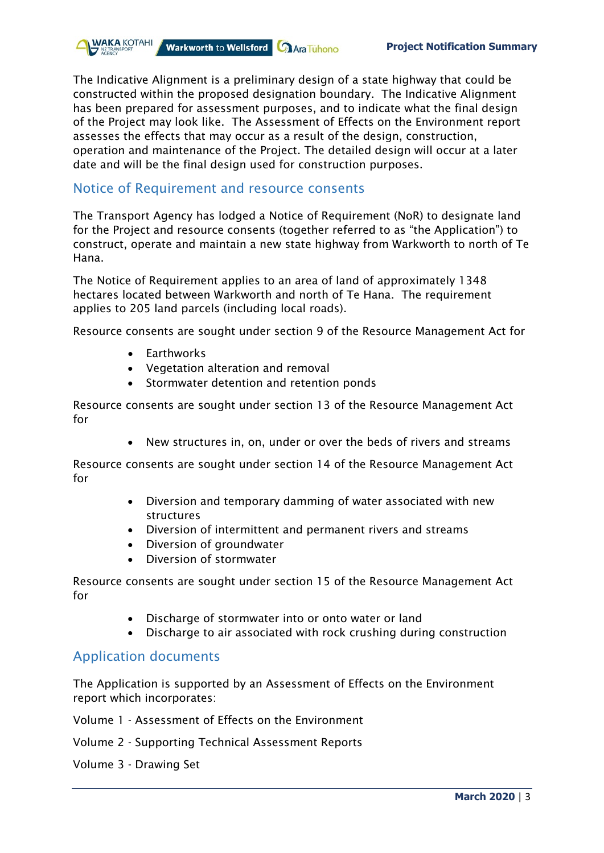

The Indicative Alignment is a preliminary design of a state highway that could be constructed within the proposed designation boundary. The Indicative Alignment has been prepared for assessment purposes, and to indicate what the final design of the Project may look like. The Assessment of Effects on the Environment report assesses the effects that may occur as a result of the design, construction, operation and maintenance of the Project. The detailed design will occur at a later date and will be the final design used for construction purposes.

#### Notice of Requirement and resource consents

The Transport Agency has lodged a Notice of Requirement (NoR) to designate land for the Project and resource consents (together referred to as "the Application") to construct, operate and maintain a new state highway from Warkworth to north of Te Hana.

The Notice of Requirement applies to an area of land of approximately 1348 hectares located between Warkworth and north of Te Hana. The requirement applies to 205 land parcels (including local roads).

Resource consents are sought under section 9 of the Resource Management Act for

- Earthworks
- Vegetation alteration and removal
- Stormwater detention and retention ponds

Resource consents are sought under section 13 of the Resource Management Act for

• New structures in, on, under or over the beds of rivers and streams

Resource consents are sought under section 14 of the Resource Management Act for

- Diversion and temporary damming of water associated with new structures
- Diversion of intermittent and permanent rivers and streams
- Diversion of groundwater
- Diversion of stormwater

Resource consents are sought under section 15 of the Resource Management Act for

- Discharge of stormwater into or onto water or land
- Discharge to air associated with rock crushing during construction

#### Application documents

The Application is supported by an Assessment of Effects on the Environment report which incorporates:

- Volume 1 Assessment of Effects on the Environment
- Volume 2 Supporting Technical Assessment Reports
- Volume 3 Drawing Set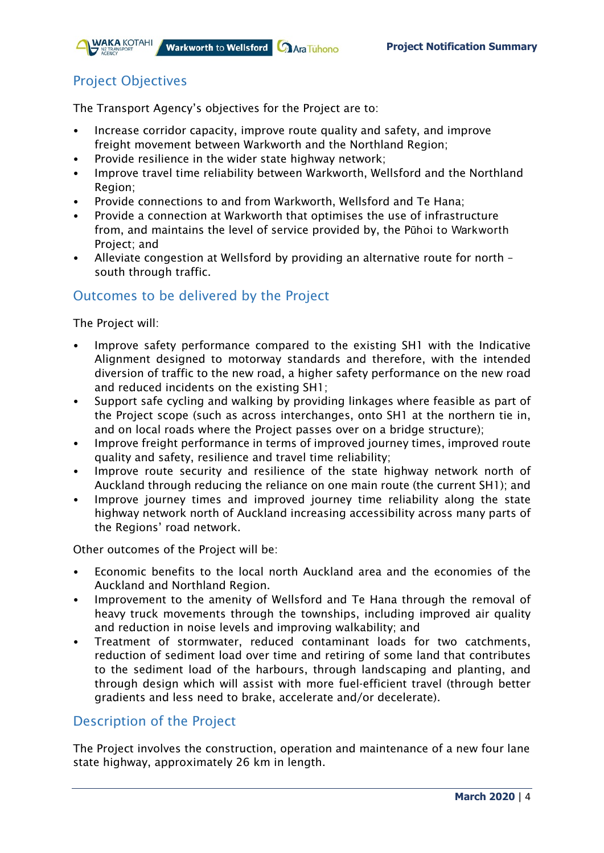

## Project Objectives

The Transport Agency's objectives for the Project are to:

- Increase corridor capacity, improve route quality and safety, and improve freight movement between Warkworth and the Northland Region;
- Provide resilience in the wider state highway network;
- Improve travel time reliability between Warkworth, Wellsford and the Northland Region;
- Provide connections to and from Warkworth, Wellsford and Te Hana;
- Provide a connection at Warkworth that optimises the use of infrastructure from, and maintains the level of service provided by, the Pūhoi to Warkworth Project; and
- Alleviate congestion at Wellsford by providing an alternative route for north south through traffic.

## Outcomes to be delivered by the Project

The Project will:

- Improve safety performance compared to the existing SH1 with the Indicative Alignment designed to motorway standards and therefore, with the intended diversion of traffic to the new road, a higher safety performance on the new road and reduced incidents on the existing SH1;
- Support safe cycling and walking by providing linkages where feasible as part of the Project scope (such as across interchanges, onto SH1 at the northern tie in, and on local roads where the Project passes over on a bridge structure);
- Improve freight performance in terms of improved journey times, improved route quality and safety, resilience and travel time reliability;
- Improve route security and resilience of the state highway network north of Auckland through reducing the reliance on one main route (the current SH1); and
- Improve journey times and improved journey time reliability along the state highway network north of Auckland increasing accessibility across many parts of the Regions' road network.

Other outcomes of the Project will be:

- Economic benefits to the local north Auckland area and the economies of the Auckland and Northland Region.
- Improvement to the amenity of Wellsford and Te Hana through the removal of heavy truck movements through the townships, including improved air quality and reduction in noise levels and improving walkability; and
- Treatment of stormwater, reduced contaminant loads for two catchments, reduction of sediment load over time and retiring of some land that contributes to the sediment load of the harbours, through landscaping and planting, and through design which will assist with more fuel-efficient travel (through better gradients and less need to brake, accelerate and/or decelerate).

## Description of the Project

The Project involves the construction, operation and maintenance of a new four lane state highway, approximately 26 km in length.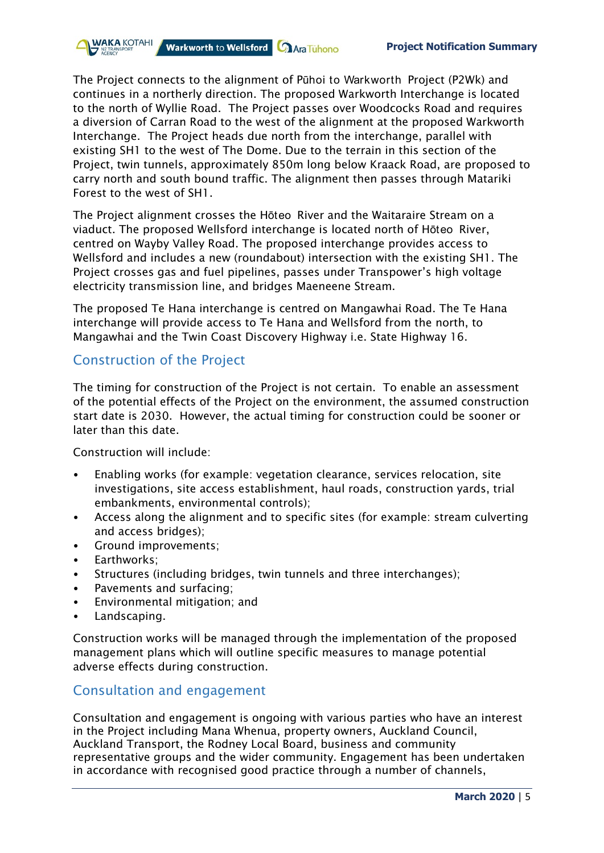

The Project connects to the alignment of Pūhoi to Warkworth Project (P2Wk) and continues in a northerly direction. The proposed Warkworth Interchange is located to the north of Wyllie Road. The Project passes over Woodcocks Road and requires a diversion of Carran Road to the west of the alignment at the proposed Warkworth Interchange. The Project heads due north from the interchange, parallel with existing SH1 to the west of The Dome. Due to the terrain in this section of the Project, twin tunnels, approximately 850m long below Kraack Road, are proposed to carry north and south bound traffic. The alignment then passes through Matariki Forest to the west of SH1.

The Project alignment crosses the Hōteo River and the Waitaraire Stream on a viaduct. The proposed Wellsford interchange is located north of Hōteo River, centred on Wayby Valley Road. The proposed interchange provides access to Wellsford and includes a new (roundabout) intersection with the existing SH1. The Project crosses gas and fuel pipelines, passes under Transpower's high voltage electricity transmission line, and bridges Maeneene Stream.

The proposed Te Hana interchange is centred on Mangawhai Road. The Te Hana interchange will provide access to Te Hana and Wellsford from the north, to Mangawhai and the Twin Coast Discovery Highway i.e. State Highway 16.

#### Construction of the Project

The timing for construction of the Project is not certain. To enable an assessment of the potential effects of the Project on the environment, the assumed construction start date is 2030. However, the actual timing for construction could be sooner or later than this date.

Construction will include:

- Enabling works (for example: vegetation clearance, services relocation, site investigations, site access establishment, haul roads, construction yards, trial embankments, environmental controls);
- Access along the alignment and to specific sites (for example: stream culverting and access bridges);
- Ground improvements;
- Earthworks;
- Structures (including bridges, twin tunnels and three interchanges);
- Pavements and surfacing;
- Environmental mitigation; and
- Landscaping.

Construction works will be managed through the implementation of the proposed management plans which will outline specific measures to manage potential adverse effects during construction.

#### Consultation and engagement

Consultation and engagement is ongoing with various parties who have an interest in the Project including Mana Whenua, property owners, Auckland Council, Auckland Transport, the Rodney Local Board, business and community representative groups and the wider community. Engagement has been undertaken in accordance with recognised good practice through a number of channels,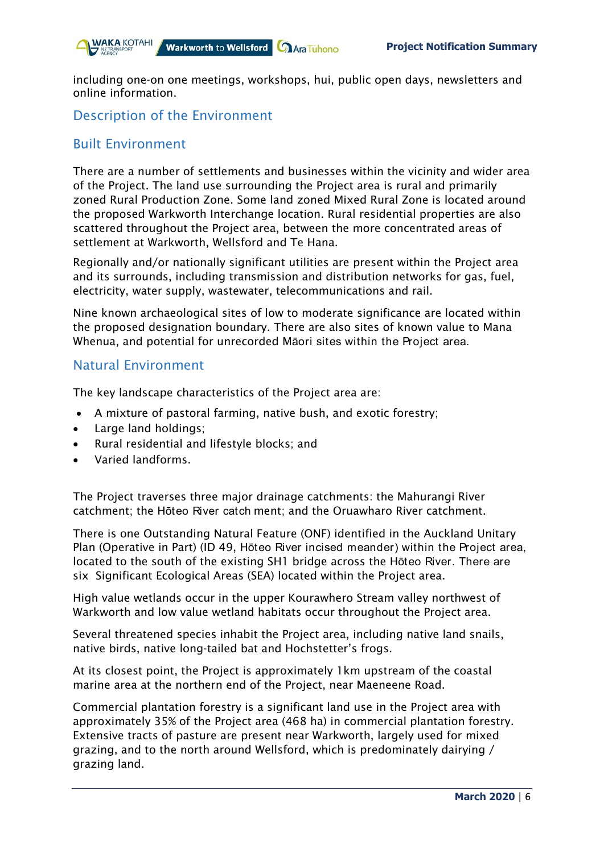

including one-on one meetings, workshops, hui, public open days, newsletters and online information.

## Description of the Environment

### Built Environment

There are a number of settlements and businesses within the vicinity and wider area of the Project. The land use surrounding the Project area is rural and primarily zoned Rural Production Zone. Some land zoned Mixed Rural Zone is located around the proposed Warkworth Interchange location. Rural residential properties are also scattered throughout the Project area, between the more concentrated areas of settlement at Warkworth, Wellsford and Te Hana.

Regionally and/or nationally significant utilities are present within the Project area and its surrounds, including transmission and distribution networks for gas, fuel, electricity, water supply, wastewater, telecommunications and rail.

Nine known archaeological sites of low to moderate significance are located within the proposed designation boundary. There are also sites of known value to Mana Whenua, and potential for unrecorded Māori sites within the Project area.

#### Natural Environment

The key landscape characteristics of the Project area are:

- A mixture of pastoral farming, native bush, and exotic forestry;
- Large land holdings;
- Rural residential and lifestyle blocks; and
- Varied landforms.

The Project traverses three major drainage catchments: the Mahurangi River catchment; the Hōteo River catch ment; and the Oruawharo River catchment.

There is one Outstanding Natural Feature (ONF) identified in the Auckland Unitary Plan (Operative in Part) (ID 49, Hōteo River incised meander) within the Project area, located to the south of the existing SH1 bridge across the Hōteo River. There are six Significant Ecological Areas (SEA) located within the Project area.

High value wetlands occur in the upper Kourawhero Stream valley northwest of Warkworth and low value wetland habitats occur throughout the Project area.

Several threatened species inhabit the Project area, including native land snails, native birds, native long-tailed bat and Hochstetter's frogs.

At its closest point, the Project is approximately 1km upstream of the coastal marine area at the northern end of the Project, near Maeneene Road.

Commercial plantation forestry is a significant land use in the Project area with approximately 35% of the Project area (468 ha) in commercial plantation forestry. Extensive tracts of pasture are present near Warkworth, largely used for mixed grazing, and to the north around Wellsford, which is predominately dairying / grazing land.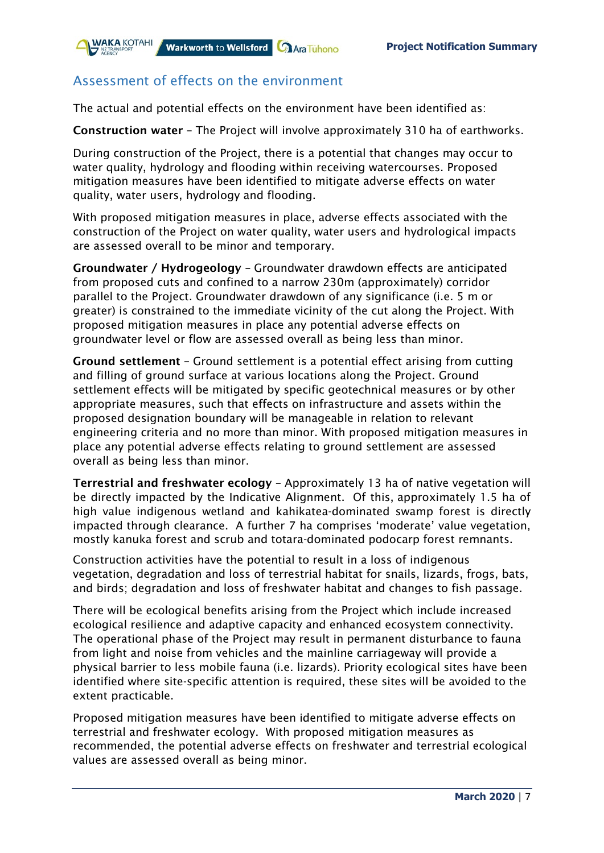

## Assessment of effects on the environment

The actual and potential effects on the environment have been identified as:

Construction water – The Project will involve approximately 310 ha of earthworks.

During construction of the Project, there is a potential that changes may occur to water quality, hydrology and flooding within receiving watercourses. Proposed mitigation measures have been identified to mitigate adverse effects on water quality, water users, hydrology and flooding.

With proposed mitigation measures in place, adverse effects associated with the construction of the Project on water quality, water users and hydrological impacts are assessed overall to be minor and temporary.

Groundwater / Hydrogeology – Groundwater drawdown effects are anticipated from proposed cuts and confined to a narrow 230m (approximately) corridor parallel to the Project. Groundwater drawdown of any significance (i.e. 5 m or greater) is constrained to the immediate vicinity of the cut along the Project. With proposed mitigation measures in place any potential adverse effects on groundwater level or flow are assessed overall as being less than minor.

Ground settlement – Ground settlement is a potential effect arising from cutting and filling of ground surface at various locations along the Project. Ground settlement effects will be mitigated by specific geotechnical measures or by other appropriate measures, such that effects on infrastructure and assets within the proposed designation boundary will be manageable in relation to relevant engineering criteria and no more than minor. With proposed mitigation measures in place any potential adverse effects relating to ground settlement are assessed overall as being less than minor.

Terrestrial and freshwater ecology – Approximately 13 ha of native vegetation will be directly impacted by the Indicative Alignment. Of this, approximately 1.5 ha of high value indigenous wetland and kahikatea-dominated swamp forest is directly impacted through clearance. A further 7 ha comprises 'moderate' value vegetation, mostly kanuka forest and scrub and totara-dominated podocarp forest remnants.

Construction activities have the potential to result in a loss of indigenous vegetation, degradation and loss of terrestrial habitat for snails, lizards, frogs, bats, and birds; degradation and loss of freshwater habitat and changes to fish passage.

There will be ecological benefits arising from the Project which include increased ecological resilience and adaptive capacity and enhanced ecosystem connectivity. The operational phase of the Project may result in permanent disturbance to fauna from light and noise from vehicles and the mainline carriageway will provide a physical barrier to less mobile fauna (i.e. lizards). Priority ecological sites have been identified where site-specific attention is required, these sites will be avoided to the extent practicable.

Proposed mitigation measures have been identified to mitigate adverse effects on terrestrial and freshwater ecology. With proposed mitigation measures as recommended, the potential adverse effects on freshwater and terrestrial ecological values are assessed overall as being minor.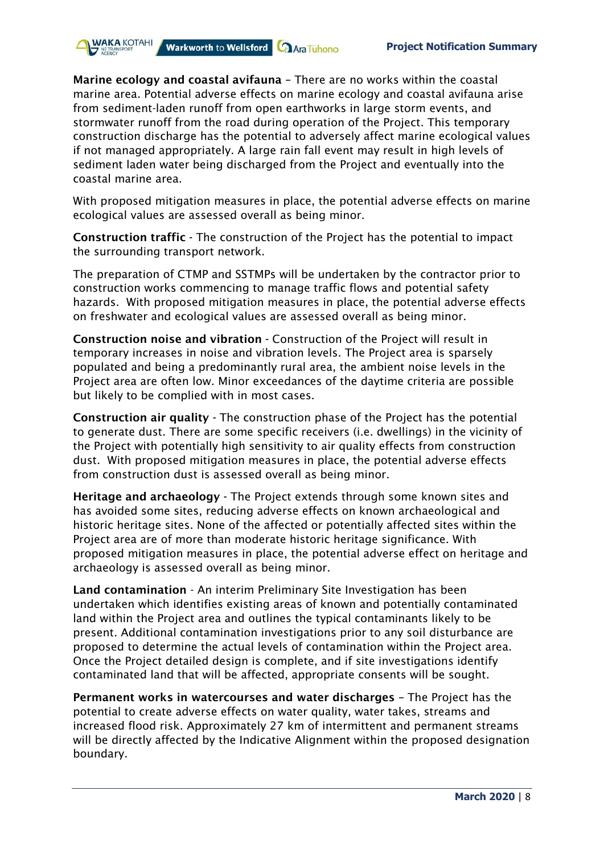Marine ecology and coastal avifauna – There are no works within the coastal marine area. Potential adverse effects on marine ecology and coastal avifauna arise from sediment-laden runoff from open earthworks in large storm events, and stormwater runoff from the road during operation of the Project. This temporary construction discharge has the potential to adversely affect marine ecological values if not managed appropriately. A large rain fall event may result in high levels of sediment laden water being discharged from the Project and eventually into the coastal marine area.

Warkworth to Wellsford **Call Ara Tuhono** 

**NAKA KOTAHI** 

With proposed mitigation measures in place, the potential adverse effects on marine ecological values are assessed overall as being minor.

Construction traffic - The construction of the Project has the potential to impact the surrounding transport network.

The preparation of CTMP and SSTMPs will be undertaken by the contractor prior to construction works commencing to manage traffic flows and potential safety hazards. With proposed mitigation measures in place, the potential adverse effects on freshwater and ecological values are assessed overall as being minor.

Construction noise and vibration - Construction of the Project will result in temporary increases in noise and vibration levels. The Project area is sparsely populated and being a predominantly rural area, the ambient noise levels in the Project area are often low. Minor exceedances of the daytime criteria are possible but likely to be complied with in most cases.

Construction air quality - The construction phase of the Project has the potential to generate dust. There are some specific receivers (i.e. dwellings) in the vicinity of the Project with potentially high sensitivity to air quality effects from construction dust. With proposed mitigation measures in place, the potential adverse effects from construction dust is assessed overall as being minor.

Heritage and archaeology - The Project extends through some known sites and has avoided some sites, reducing adverse effects on known archaeological and historic heritage sites. None of the affected or potentially affected sites within the Project area are of more than moderate historic heritage significance. With proposed mitigation measures in place, the potential adverse effect on heritage and archaeology is assessed overall as being minor.

Land contamination - An interim Preliminary Site Investigation has been undertaken which identifies existing areas of known and potentially contaminated land within the Project area and outlines the typical contaminants likely to be present. Additional contamination investigations prior to any soil disturbance are proposed to determine the actual levels of contamination within the Project area. Once the Project detailed design is complete, and if site investigations identify contaminated land that will be affected, appropriate consents will be sought.

Permanent works in watercourses and water discharges – The Project has the potential to create adverse effects on water quality, water takes, streams and increased flood risk. Approximately 27 km of intermittent and permanent streams will be directly affected by the Indicative Alignment within the proposed designation boundary.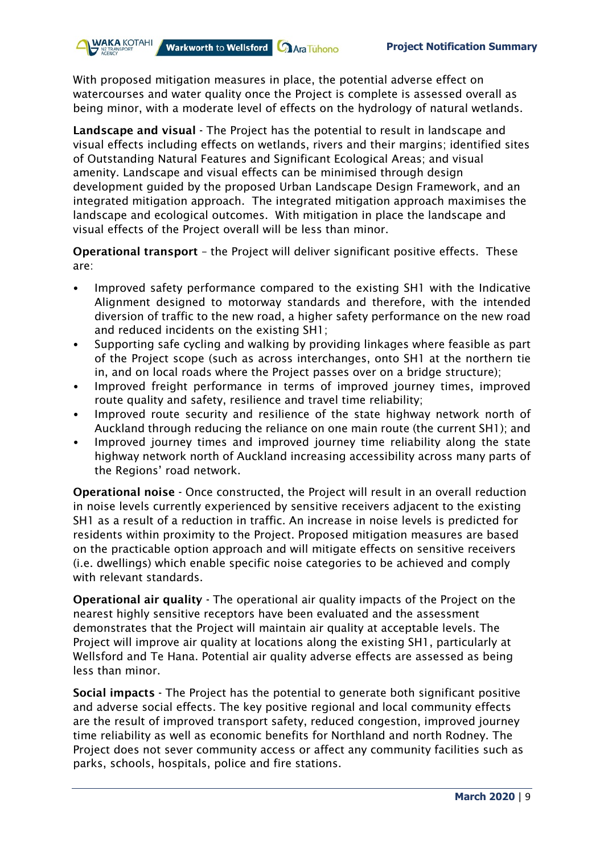With proposed mitigation measures in place, the potential adverse effect on watercourses and water quality once the Project is complete is assessed overall as being minor, with a moderate level of effects on the hydrology of natural wetlands.

Warkworth to Wellsford **Call Ara Tuhono** 

**WAKA KOTAHI** 

Landscape and visual - The Project has the potential to result in landscape and visual effects including effects on wetlands, rivers and their margins; identified sites of Outstanding Natural Features and Significant Ecological Areas; and visual amenity. Landscape and visual effects can be minimised through design development guided by the proposed Urban Landscape Design Framework, and an integrated mitigation approach. The integrated mitigation approach maximises the landscape and ecological outcomes. With mitigation in place the landscape and visual effects of the Project overall will be less than minor.

Operational transport – the Project will deliver significant positive effects. These are:

- Improved safety performance compared to the existing SH1 with the Indicative Alignment designed to motorway standards and therefore, with the intended diversion of traffic to the new road, a higher safety performance on the new road and reduced incidents on the existing SH1;
- Supporting safe cycling and walking by providing linkages where feasible as part of the Project scope (such as across interchanges, onto SH1 at the northern tie in, and on local roads where the Project passes over on a bridge structure);
- Improved freight performance in terms of improved journey times, improved route quality and safety, resilience and travel time reliability;
- Improved route security and resilience of the state highway network north of Auckland through reducing the reliance on one main route (the current SH1); and
- Improved journey times and improved journey time reliability along the state highway network north of Auckland increasing accessibility across many parts of the Regions' road network.

Operational noise - Once constructed, the Project will result in an overall reduction in noise levels currently experienced by sensitive receivers adjacent to the existing SH1 as a result of a reduction in traffic. An increase in noise levels is predicted for residents within proximity to the Project. Proposed mitigation measures are based on the practicable option approach and will mitigate effects on sensitive receivers (i.e. dwellings) which enable specific noise categories to be achieved and comply with relevant standards.

Operational air quality - The operational air quality impacts of the Project on the nearest highly sensitive receptors have been evaluated and the assessment demonstrates that the Project will maintain air quality at acceptable levels. The Project will improve air quality at locations along the existing SH1, particularly at Wellsford and Te Hana. Potential air quality adverse effects are assessed as being less than minor.

Social impacts - The Project has the potential to generate both significant positive and adverse social effects. The key positive regional and local community effects are the result of improved transport safety, reduced congestion, improved journey time reliability as well as economic benefits for Northland and north Rodney. The Project does not sever community access or affect any community facilities such as parks, schools, hospitals, police and fire stations.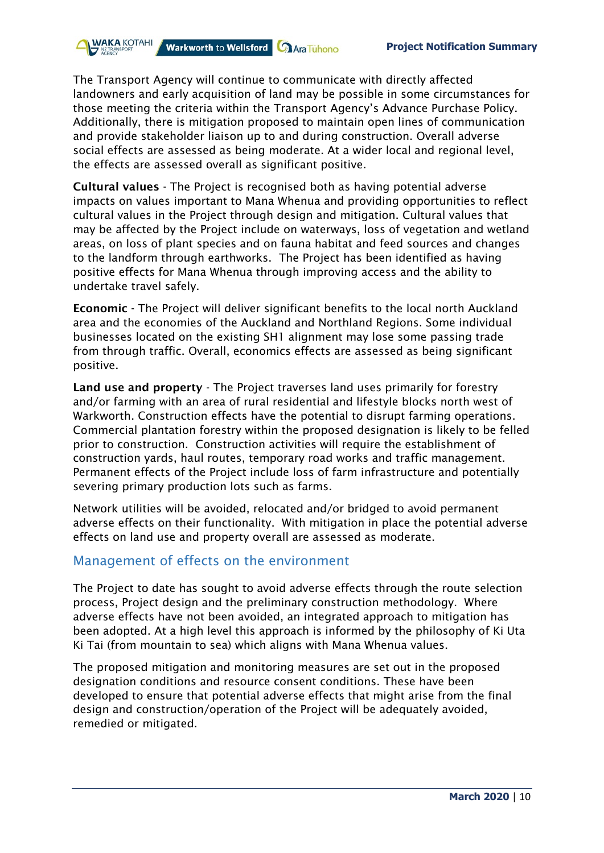The Transport Agency will continue to communicate with directly affected landowners and early acquisition of land may be possible in some circumstances for those meeting the criteria within the Transport Agency's Advance Purchase Policy. Additionally, there is mitigation proposed to maintain open lines of communication and provide stakeholder liaison up to and during construction. Overall adverse social effects are assessed as being moderate. At a wider local and regional level, the effects are assessed overall as significant positive.

Warkworth to Wellsford **Call Ara Tuhono** 

Cultural values - The Project is recognised both as having potential adverse impacts on values important to Mana Whenua and providing opportunities to reflect cultural values in the Project through design and mitigation. Cultural values that may be affected by the Project include on waterways, loss of vegetation and wetland areas, on loss of plant species and on fauna habitat and feed sources and changes to the landform through earthworks. The Project has been identified as having positive effects for Mana Whenua through improving access and the ability to undertake travel safely.

Economic - The Project will deliver significant benefits to the local north Auckland area and the economies of the Auckland and Northland Regions. Some individual businesses located on the existing SH1 alignment may lose some passing trade from through traffic. Overall, economics effects are assessed as being significant positive.

Land use and property - The Project traverses land uses primarily for forestry and/or farming with an area of rural residential and lifestyle blocks north west of Warkworth. Construction effects have the potential to disrupt farming operations. Commercial plantation forestry within the proposed designation is likely to be felled prior to construction. Construction activities will require the establishment of construction yards, haul routes, temporary road works and traffic management. Permanent effects of the Project include loss of farm infrastructure and potentially severing primary production lots such as farms.

Network utilities will be avoided, relocated and/or bridged to avoid permanent adverse effects on their functionality. With mitigation in place the potential adverse effects on land use and property overall are assessed as moderate.

#### Management of effects on the environment

**WAKA KOTAHI** 

The Project to date has sought to avoid adverse effects through the route selection process, Project design and the preliminary construction methodology. Where adverse effects have not been avoided, an integrated approach to mitigation has been adopted. At a high level this approach is informed by the philosophy of Ki Uta Ki Tai (from mountain to sea) which aligns with Mana Whenua values.

The proposed mitigation and monitoring measures are set out in the proposed designation conditions and resource consent conditions. These have been developed to ensure that potential adverse effects that might arise from the final design and construction/operation of the Project will be adequately avoided, remedied or mitigated.